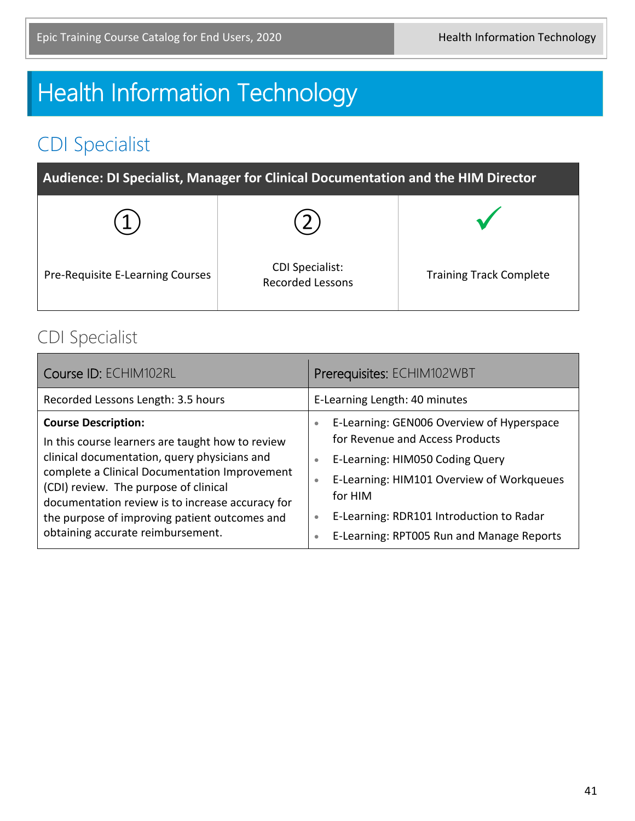# **Health Information Technology**

# CDI Specialist

| Audience: DI Specialist, Manager for Clinical Documentation and the HIM Director |                                                   |                                |
|----------------------------------------------------------------------------------|---------------------------------------------------|--------------------------------|
|                                                                                  |                                                   |                                |
| Pre-Requisite E-Learning Courses                                                 | <b>CDI Specialist:</b><br><b>Recorded Lessons</b> | <b>Training Track Complete</b> |

#### CDI Specialist

| Course ID: ECHIM102RL                                                                                                                                                                                                                                                                                                                                              |
|--------------------------------------------------------------------------------------------------------------------------------------------------------------------------------------------------------------------------------------------------------------------------------------------------------------------------------------------------------------------|
| Recorded Lessons Length: 3.5 hours                                                                                                                                                                                                                                                                                                                                 |
| <b>Course Description:</b><br>In this course learners are taught how to review<br>clinical documentation, query physicians and<br>complete a Clinical Documentation Improvement<br>(CDI) review. The purpose of clinical<br>documentation review is to increase accuracy for<br>the purpose of improving patient outcomes and<br>obtaining accurate reimbursement. |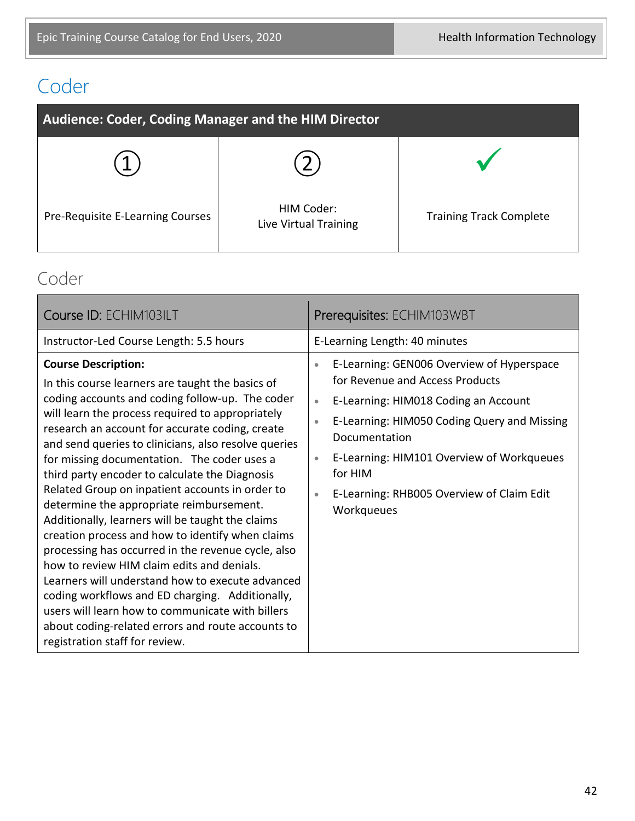# Coder

| Audience: Coder, Coding Manager and the HIM Director |                                     |                                |
|------------------------------------------------------|-------------------------------------|--------------------------------|
|                                                      |                                     |                                |
| Pre-Requisite E-Learning Courses                     | HIM Coder:<br>Live Virtual Training | <b>Training Track Complete</b> |

#### Coder

| Course ID: ECHIM103ILT                                                                                                                                                                                                                                                                                                                                                                                                                                                                                                                                                                                                                                                                                                                                                                                                                                                                                                                                         | Prerequisites: ECHIM103WBT                                                                                                                                                                                                                                                                                                                                               |
|----------------------------------------------------------------------------------------------------------------------------------------------------------------------------------------------------------------------------------------------------------------------------------------------------------------------------------------------------------------------------------------------------------------------------------------------------------------------------------------------------------------------------------------------------------------------------------------------------------------------------------------------------------------------------------------------------------------------------------------------------------------------------------------------------------------------------------------------------------------------------------------------------------------------------------------------------------------|--------------------------------------------------------------------------------------------------------------------------------------------------------------------------------------------------------------------------------------------------------------------------------------------------------------------------------------------------------------------------|
| Instructor-Led Course Length: 5.5 hours                                                                                                                                                                                                                                                                                                                                                                                                                                                                                                                                                                                                                                                                                                                                                                                                                                                                                                                        | E-Learning Length: 40 minutes                                                                                                                                                                                                                                                                                                                                            |
| <b>Course Description:</b><br>In this course learners are taught the basics of<br>coding accounts and coding follow-up. The coder<br>will learn the process required to appropriately<br>research an account for accurate coding, create<br>and send queries to clinicians, also resolve queries<br>for missing documentation. The coder uses a<br>third party encoder to calculate the Diagnosis<br>Related Group on inpatient accounts in order to<br>determine the appropriate reimbursement.<br>Additionally, learners will be taught the claims<br>creation process and how to identify when claims<br>processing has occurred in the revenue cycle, also<br>how to review HIM claim edits and denials.<br>Learners will understand how to execute advanced<br>coding workflows and ED charging. Additionally,<br>users will learn how to communicate with billers<br>about coding-related errors and route accounts to<br>registration staff for review. | E-Learning: GEN006 Overview of Hyperspace<br>$\bullet$<br>for Revenue and Access Products<br>E-Learning: HIM018 Coding an Account<br>$\bullet$<br>E-Learning: HIM050 Coding Query and Missing<br>$\bullet$<br>Documentation<br>E-Learning: HIM101 Overview of Workqueues<br>$\bullet$<br>for HIM<br>E-Learning: RHB005 Overview of Claim Edit<br>$\bullet$<br>Workqueues |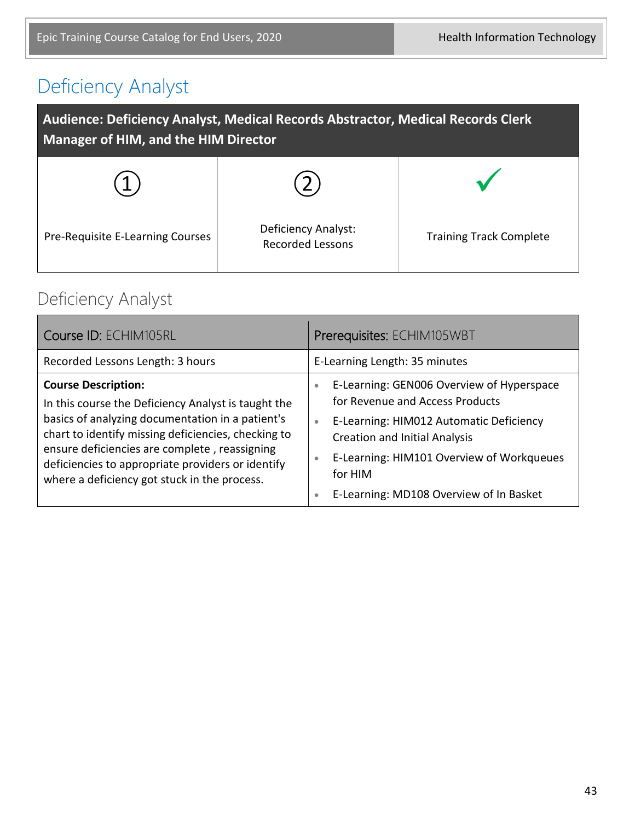# Deficiency Analyst

| Audience: Deficiency Analyst, Medical Records Abstractor, Medical Records Clerk<br>Manager of HIM, and the HIM Director |                                                |                                |
|-------------------------------------------------------------------------------------------------------------------------|------------------------------------------------|--------------------------------|
|                                                                                                                         |                                                |                                |
| Pre-Requisite E-Learning Courses                                                                                        | Deficiency Analyst:<br><b>Recorded Lessons</b> | <b>Training Track Complete</b> |

### Deficiency Analyst

| Course ID: ECHIM105RL                                                                                                                                                                                                                                                                                                                              | Prerequisites: ECHIM105WBT                                                                                                                                                                                                                                                                                             |
|----------------------------------------------------------------------------------------------------------------------------------------------------------------------------------------------------------------------------------------------------------------------------------------------------------------------------------------------------|------------------------------------------------------------------------------------------------------------------------------------------------------------------------------------------------------------------------------------------------------------------------------------------------------------------------|
| Recorded Lessons Length: 3 hours                                                                                                                                                                                                                                                                                                                   | E-Learning Length: 35 minutes                                                                                                                                                                                                                                                                                          |
| <b>Course Description:</b><br>In this course the Deficiency Analyst is taught the<br>basics of analyzing documentation in a patient's<br>chart to identify missing deficiencies, checking to<br>ensure deficiencies are complete, reassigning<br>deficiencies to appropriate providers or identify<br>where a deficiency got stuck in the process. | E-Learning: GEN006 Overview of Hyperspace<br>$\bullet$<br>for Revenue and Access Products<br>E-Learning: HIM012 Automatic Deficiency<br>$\bullet$<br><b>Creation and Initial Analysis</b><br>E-Learning: HIM101 Overview of Workqueues<br>$\bullet$<br>for HIM<br>E-Learning: MD108 Overview of In Basket<br>$\bullet$ |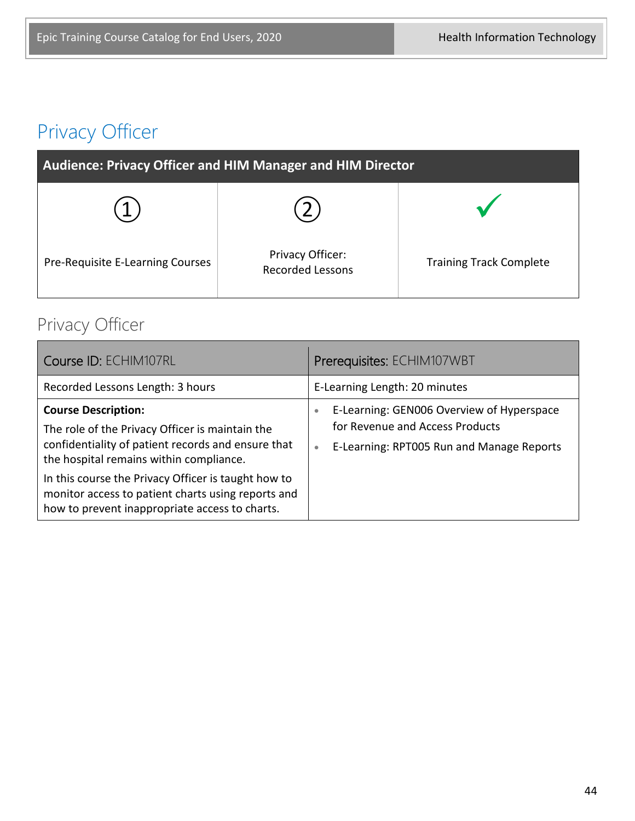# Privacy Officer

| <b>Audience: Privacy Officer and HIM Manager and HIM Director</b> |                                             |                                |
|-------------------------------------------------------------------|---------------------------------------------|--------------------------------|
|                                                                   |                                             |                                |
| Pre-Requisite E-Learning Courses                                  | Privacy Officer:<br><b>Recorded Lessons</b> | <b>Training Track Complete</b> |

# Privacy Officer

| Course ID: ECHIM107RL                                                                                                                                                                                                                                                                                                                         | Prerequisites: ECHIM107WBT                                                                                                                          |
|-----------------------------------------------------------------------------------------------------------------------------------------------------------------------------------------------------------------------------------------------------------------------------------------------------------------------------------------------|-----------------------------------------------------------------------------------------------------------------------------------------------------|
| Recorded Lessons Length: 3 hours                                                                                                                                                                                                                                                                                                              | E-Learning Length: 20 minutes                                                                                                                       |
| <b>Course Description:</b><br>The role of the Privacy Officer is maintain the<br>confidentiality of patient records and ensure that<br>the hospital remains within compliance.<br>In this course the Privacy Officer is taught how to<br>monitor access to patient charts using reports and<br>how to prevent inappropriate access to charts. | E-Learning: GEN006 Overview of Hyperspace<br>$\bullet$<br>for Revenue and Access Products<br>E-Learning: RPT005 Run and Manage Reports<br>$\bullet$ |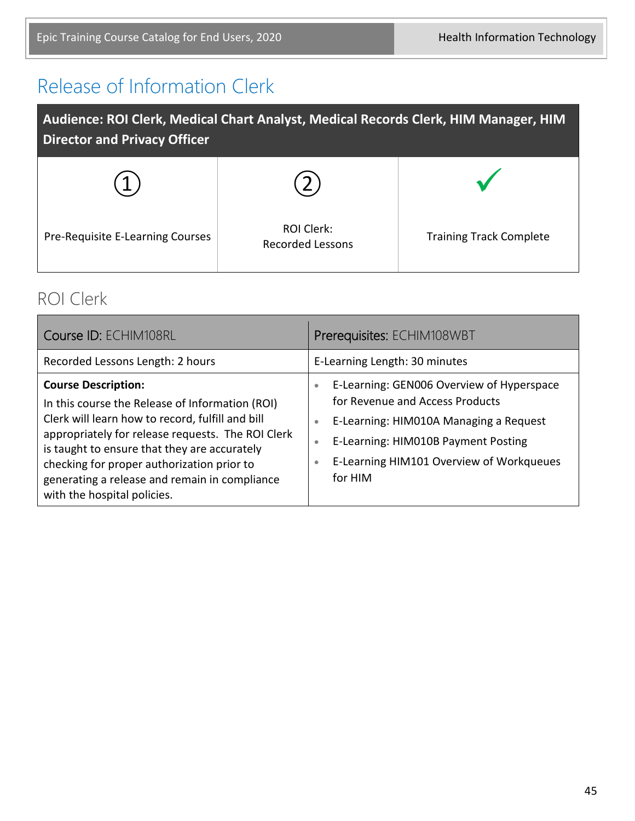# Release of Information Clerk

| Audience: ROI Clerk, Medical Chart Analyst, Medical Records Clerk, HIM Manager, HIM<br><b>Director and Privacy Officer</b> |                                       |                                |
|----------------------------------------------------------------------------------------------------------------------------|---------------------------------------|--------------------------------|
|                                                                                                                            |                                       |                                |
| Pre-Requisite E-Learning Courses                                                                                           | ROI Clerk:<br><b>Recorded Lessons</b> | <b>Training Track Complete</b> |

#### ROI Clerk

| Course ID: ECHIM108RL                                                                                                                                                                                                                                                                                                                                                | Prerequisites: ECHIM108WBT                                                                                                                                                                                                                                               |
|----------------------------------------------------------------------------------------------------------------------------------------------------------------------------------------------------------------------------------------------------------------------------------------------------------------------------------------------------------------------|--------------------------------------------------------------------------------------------------------------------------------------------------------------------------------------------------------------------------------------------------------------------------|
| Recorded Lessons Length: 2 hours                                                                                                                                                                                                                                                                                                                                     | E-Learning Length: 30 minutes                                                                                                                                                                                                                                            |
| <b>Course Description:</b><br>In this course the Release of Information (ROI)<br>Clerk will learn how to record, fulfill and bill<br>appropriately for release requests. The ROI Clerk<br>is taught to ensure that they are accurately<br>checking for proper authorization prior to<br>generating a release and remain in compliance<br>with the hospital policies. | E-Learning: GEN006 Overview of Hyperspace<br>$\bullet$<br>for Revenue and Access Products<br>E-Learning: HIM010A Managing a Request<br>$\bullet$<br>E-Learning: HIM010B Payment Posting<br>$\bullet$<br>E-Learning HIM101 Overview of Workqueues<br>$\bullet$<br>for HIM |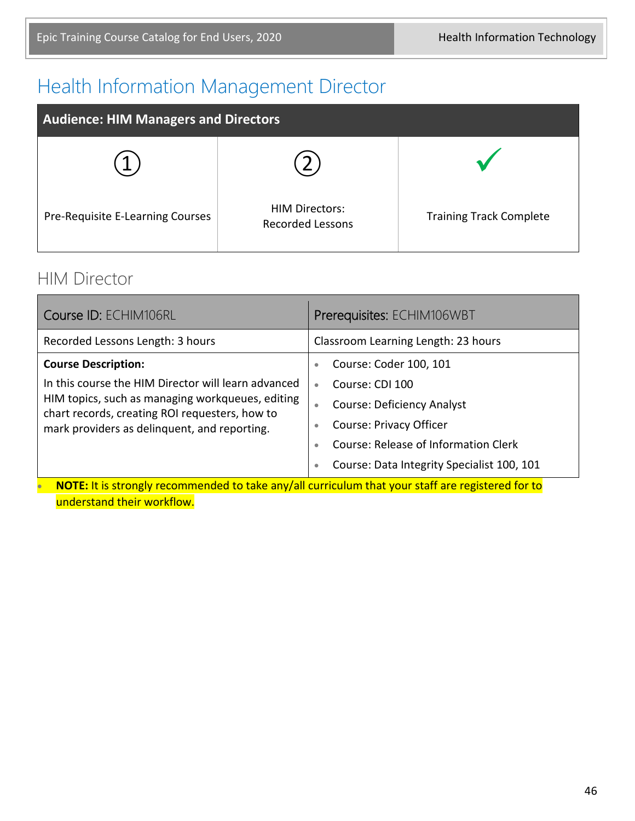# Health Information Management Director

| <b>Audience: HIM Managers and Directors</b> |                                                  |                                |
|---------------------------------------------|--------------------------------------------------|--------------------------------|
|                                             |                                                  |                                |
| Pre-Requisite E-Learning Courses            | <b>HIM Directors:</b><br><b>Recorded Lessons</b> | <b>Training Track Complete</b> |

#### HIM Director

| Course ID: ECHIM106RL                                                                                                                                                                                     | Prerequisites: ECHIM106WBT                               |  |
|-----------------------------------------------------------------------------------------------------------------------------------------------------------------------------------------------------------|----------------------------------------------------------|--|
| Recorded Lessons Length: 3 hours                                                                                                                                                                          | Classroom Learning Length: 23 hours                      |  |
| <b>Course Description:</b>                                                                                                                                                                                | Course: Coder 100, 101<br>$\bullet$                      |  |
| In this course the HIM Director will learn advanced<br>HIM topics, such as managing workqueues, editing<br>chart records, creating ROI requesters, how to<br>mark providers as delinquent, and reporting. | Course: CDI 100<br>$\bullet$                             |  |
|                                                                                                                                                                                                           | <b>Course: Deficiency Analyst</b><br>$\bullet$           |  |
|                                                                                                                                                                                                           | Course: Privacy Officer<br>$\bullet$                     |  |
|                                                                                                                                                                                                           | <b>Course: Release of Information Clerk</b><br>$\bullet$ |  |
|                                                                                                                                                                                                           | Course: Data Integrity Specialist 100, 101<br>$\bullet$  |  |
| NOTE: It is strongly recommended to take any/all curriculum that your staff are registered for to                                                                                                         |                                                          |  |
| understand their workflow.                                                                                                                                                                                |                                                          |  |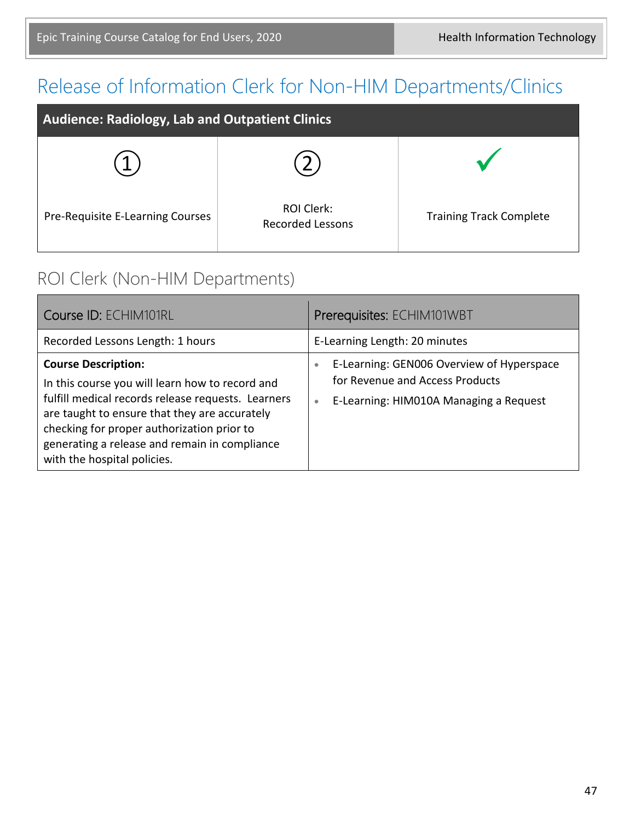# Release of Information Clerk for Non-HIM Departments/Clinics

| Audience: Radiology, Lab and Outpatient Clinics |                                              |                                |
|-------------------------------------------------|----------------------------------------------|--------------------------------|
|                                                 |                                              |                                |
| Pre-Requisite E-Learning Courses                | <b>ROI Clerk:</b><br><b>Recorded Lessons</b> | <b>Training Track Complete</b> |

#### ROI Clerk (Non-HIM Departments)

| Course ID: ECHIM101RL                                                                                                                                                                                                                                                                                              | Prerequisites: ECHIM101WBT                                                                                                                       |
|--------------------------------------------------------------------------------------------------------------------------------------------------------------------------------------------------------------------------------------------------------------------------------------------------------------------|--------------------------------------------------------------------------------------------------------------------------------------------------|
| Recorded Lessons Length: 1 hours                                                                                                                                                                                                                                                                                   | E-Learning Length: 20 minutes                                                                                                                    |
| <b>Course Description:</b><br>In this course you will learn how to record and<br>fulfill medical records release requests. Learners<br>are taught to ensure that they are accurately<br>checking for proper authorization prior to<br>generating a release and remain in compliance<br>with the hospital policies. | E-Learning: GEN006 Overview of Hyperspace<br>$\bullet$<br>for Revenue and Access Products<br>E-Learning: HIM010A Managing a Request<br>$\bullet$ |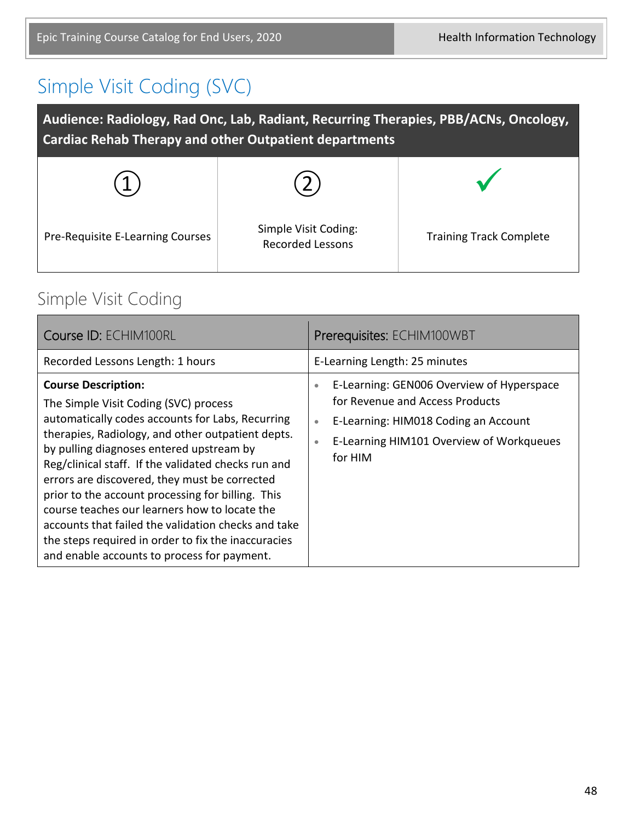# Simple Visit Coding (SVC)

| Audience: Radiology, Rad Onc, Lab, Radiant, Recurring Therapies, PBB/ACNs, Oncology,<br><b>Cardiac Rehab Therapy and other Outpatient departments</b> |                                                 |                                |  |
|-------------------------------------------------------------------------------------------------------------------------------------------------------|-------------------------------------------------|--------------------------------|--|
|                                                                                                                                                       |                                                 |                                |  |
| Pre-Requisite E-Learning Courses                                                                                                                      | Simple Visit Coding:<br><b>Recorded Lessons</b> | <b>Training Track Complete</b> |  |

#### Simple Visit Coding

| Course ID: ECHIM100RL                                                                                                                                                                                                                                                                                                                                                                                                                                                                                                                                                                               | Prerequisites: ECHIM100WBT                                                                                                                                                                                         |
|-----------------------------------------------------------------------------------------------------------------------------------------------------------------------------------------------------------------------------------------------------------------------------------------------------------------------------------------------------------------------------------------------------------------------------------------------------------------------------------------------------------------------------------------------------------------------------------------------------|--------------------------------------------------------------------------------------------------------------------------------------------------------------------------------------------------------------------|
| Recorded Lessons Length: 1 hours                                                                                                                                                                                                                                                                                                                                                                                                                                                                                                                                                                    | E-Learning Length: 25 minutes                                                                                                                                                                                      |
| <b>Course Description:</b><br>The Simple Visit Coding (SVC) process<br>automatically codes accounts for Labs, Recurring<br>therapies, Radiology, and other outpatient depts.<br>by pulling diagnoses entered upstream by<br>Reg/clinical staff. If the validated checks run and<br>errors are discovered, they must be corrected<br>prior to the account processing for billing. This<br>course teaches our learners how to locate the<br>accounts that failed the validation checks and take<br>the steps required in order to fix the inaccuracies<br>and enable accounts to process for payment. | E-Learning: GEN006 Overview of Hyperspace<br>$\bullet$<br>for Revenue and Access Products<br>E-Learning: HIM018 Coding an Account<br>$\bullet$<br>E-Learning HIM101 Overview of Workqueues<br>$\bullet$<br>for HIM |